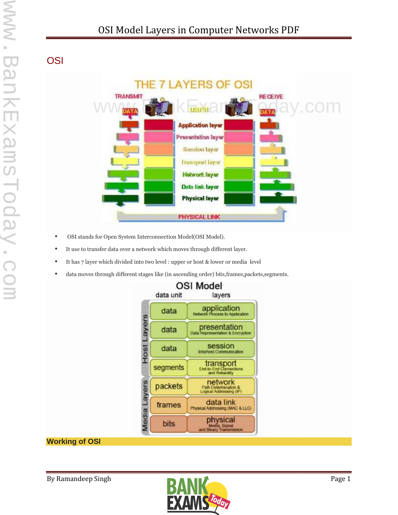# **OSI**



- OSI stands for Open System Interconnection Model(OSI Model).
- It use to transfer data over a network which moves through different layer.
- It has 7 layer which divided into two level : upper or host & lower or media level
- data moves through different stages like (in ascending order) bits,frames,packets,segments.



# **Working of OSI**

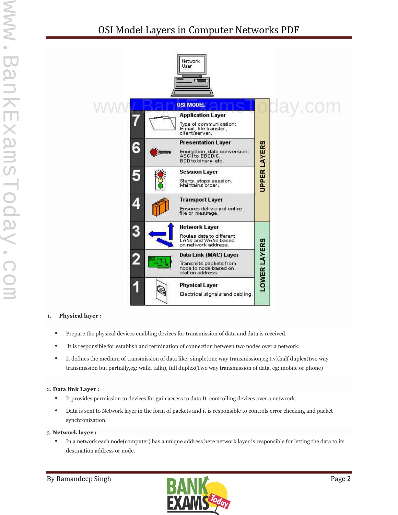

#### 1. **Physical layer :**

- Prepare the physical devices enabling devices for transmission of data and data is received.
- It is responsible for establish and termination of connection between two nodes over a network.
- It defines the medium of transmission of data like: simple(one way transmission,eg t.v),half duplex(two way transmission but partially,eg: walki talki), full duplex(Two way transmission of data, eg: mobile or phone)

#### 2. **Data link Layer :**

- It provides permission to devices for gain access to data.It controlling devices over a netwrork.
- Data is sent to Network layer in the form of packets and it is responsible to controls error checking and packet synchronization.

#### 3. **Network layer :**

 In a network each node(computer) has a unique address here network layer is responsible for letting the data to its destination address or node.